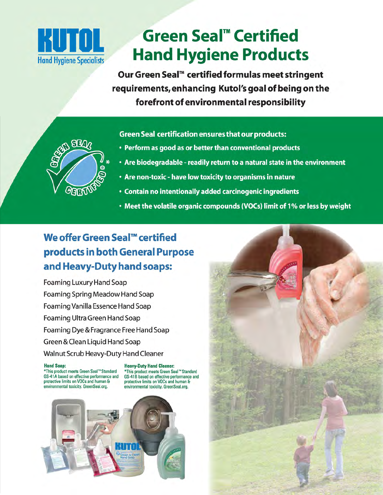

**SEA** 

**GETT** 

# **HUTOL** Green Seal™ Certified<br> **Hand Hygiene Specialists Product Hand Hygiene Products**

**Our Green Seal™ certified formulas meet stringent requirements,enhancing Kutol's goal of being on the forefront of environmental responsibility** 

**Green Seal certification ensures that our products:** 

- Perform as good as or better than conventional products
- Are biodegradable readily return to a natural state in the environment
- Are non-toxic have low toxicity to organisms in nature
- Contain no intentionally added carcinogenic ingredients
- Meet the volatile organic compounds (VOCs) limit of 1% or less by weight

### **We offer Green Seal™ certified products in both General Purpose and Heavy-Duty hand soaps:**

Foaming Luxury Hand Soap Foaming Spring Meadow Hand Soap Foaming Vanilla Essence Hand Soap Foaming Ultra Green Hand Soap Foaming Dye & Fragrance Free Hand Soap Green & Clean Liquid Hand Soap Walnut Scrub Heavy-Duty Hand Cleaner

\*This product meets Green Seal '"Standard \*This product meets Green Seal '" Standard GS-41A based on effective performance and GS-41B based on effective performance and protective limits on VOCs and human & protective limits on VOCs and human & protective limits on VOCs and human & protective limits on VOCs and human &

Hand **Soap: Heavy-Duty Hand Cleaner:**  environmental toxicity. GreenSeal.org.